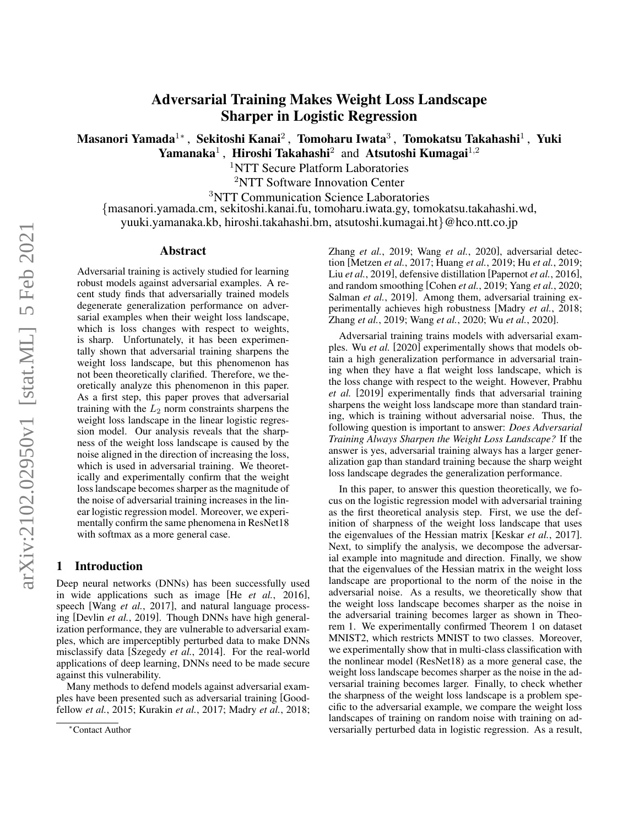# Adversarial Training Makes Weight Loss Landscape Sharper in Logistic Regression

Masanori Yamada $^{1*}$ , Sekitoshi Kanai $^{2}$ , Tomoharu Iwata $^{3}$ , Tomokatsu Takahashi $^{1}$ , Yuki

Yamanaka<sup>1</sup>, Hiroshi Takahashi<sup>2</sup> and Atsutoshi Kumagai<sup>1,2</sup>

<sup>1</sup>NTT Secure Platform Laboratories

<sup>2</sup>NTT Software Innovation Center

<sup>3</sup>NTT Communication Science Laboratories

{masanori.yamada.cm, sekitoshi.kanai.fu, tomoharu.iwata.gy, tomokatsu.takahashi.wd, yuuki.yamanaka.kb, hiroshi.takahashi.bm, atsutoshi.kumagai.ht}@hco.ntt.co.jp

#### Abstract

Adversarial training is actively studied for learning robust models against adversarial examples. A recent study finds that adversarially trained models degenerate generalization performance on adversarial examples when their weight loss landscape, which is loss changes with respect to weights, is sharp. Unfortunately, it has been experimentally shown that adversarial training sharpens the weight loss landscape, but this phenomenon has not been theoretically clarified. Therefore, we theoretically analyze this phenomenon in this paper. As a first step, this paper proves that adversarial training with the  $L_2$  norm constraints sharpens the weight loss landscape in the linear logistic regression model. Our analysis reveals that the sharpness of the weight loss landscape is caused by the noise aligned in the direction of increasing the loss, which is used in adversarial training. We theoretically and experimentally confirm that the weight loss landscape becomes sharper as the magnitude of the noise of adversarial training increases in the linear logistic regression model. Moreover, we experimentally confirm the same phenomena in ResNet18 with softmax as a more general case.

# 1 Introduction

Deep neural networks (DNNs) has been successfully used in wide applications such as image [He *et al.*[, 2016\]](#page-7-0), speech [Wang *et al.*[, 2017\]](#page-8-0), and natural language processing [\[Devlin](#page-7-1) *et al.*, 2019]. Though DNNs have high generalization performance, they are vulnerable to adversarial examples, which are imperceptibly perturbed data to make DNNs misclassify data [\[Szegedy](#page-8-1) *et al.*, 2014]. For the real-world applications of deep learning, DNNs need to be made secure against this vulnerability.

Many methods to defend models against adversarial examples have been presented such as adversarial training [\[Good](#page-7-2)fellow *et al.*[, 2015;](#page-7-2) [Kurakin](#page-7-3) *et al.*, 2017; [Madry](#page-7-4) *et al.*, 2018; Zhang *et al.*[, 2019;](#page-8-2) Wang *et al.*[, 2020\]](#page-8-3), adversarial detection [\[Metzen](#page-7-5) *et al.*, 2017; [Huang](#page-7-6) *et al.*, 2019; Hu *et al.*[, 2019;](#page-7-7) Liu *et al.*[, 2019\]](#page-7-8), defensive distillation [\[Papernot](#page-7-9) *et al.*, 2016], and random smoothing [\[Cohen](#page-7-10) *et al.*, 2019; Yang *et al.*[, 2020;](#page-8-4) [Salman](#page-8-5) *et al.*, 2019]. Among them, adversarial training experimentally achieves high robustness [\[Madry](#page-7-4) *et al.*, 2018; Zhang *et al.*[, 2019;](#page-8-2) Wang *et al.*[, 2020;](#page-8-3) Wu *et al.*[, 2020\]](#page-8-6).

Adversarial training trains models with adversarial examples. Wu *[et al.](#page-8-6)* [\[2020\]](#page-8-6) experimentally shows that models obtain a high generalization performance in adversarial training when they have a flat weight loss landscape, which is the loss change with respect to the weight. However, [Prabhu](#page-8-7) *[et al.](#page-8-7)* [\[2019\]](#page-8-7) experimentally finds that adversarial training sharpens the weight loss landscape more than standard training, which is training without adversarial noise. Thus, the following question is important to answer: *Does Adversarial Training Always Sharpen the Weight Loss Landscape?* If the answer is yes, adversarial training always has a larger generalization gap than standard training because the sharp weight loss landscape degrades the generalization performance.

In this paper, to answer this question theoretically, we focus on the logistic regression model with adversarial training as the first theoretical analysis step. First, we use the definition of sharpness of the weight loss landscape that uses the eigenvalues of the Hessian matrix [\[Keskar](#page-7-11) *et al.*, 2017]. Next, to simplify the analysis, we decompose the adversarial example into magnitude and direction. Finally, we show that the eigenvalues of the Hessian matrix in the weight loss landscape are proportional to the norm of the noise in the adversarial noise. As a results, we theoretically show that the weight loss landscape becomes sharper as the noise in the adversarial training becomes larger as shown in Theorem [1.](#page-2-0) We experimentally confirmed Theorem [1](#page-2-0) on dataset MNIST2, which restricts MNIST to two classes. Moreover, we experimentally show that in multi-class classification with the nonlinear model (ResNet18) as a more general case, the weight loss landscape becomes sharper as the noise in the adversarial training becomes larger. Finally, to check whether the sharpness of the weight loss landscape is a problem specific to the adversarial example, we compare the weight loss landscapes of training on random noise with training on adversarially perturbed data in logistic regression. As a result,

<sup>∗</sup>Contact Author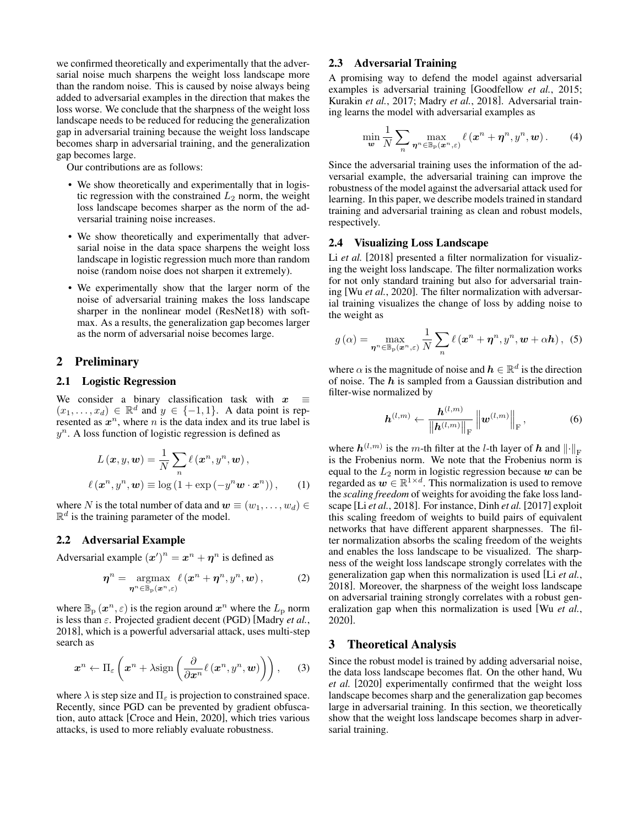we confirmed theoretically and experimentally that the adversarial noise much sharpens the weight loss landscape more than the random noise. This is caused by noise always being added to adversarial examples in the direction that makes the loss worse. We conclude that the sharpness of the weight loss landscape needs to be reduced for reducing the generalization gap in adversarial training because the weight loss landscape becomes sharp in adversarial training, and the generalization gap becomes large.

Our contributions are as follows:

- We show theoretically and experimentally that in logistic regression with the constrained  $L_2$  norm, the weight loss landscape becomes sharper as the norm of the adversarial training noise increases.
- We show theoretically and experimentally that adversarial noise in the data space sharpens the weight loss landscape in logistic regression much more than random noise (random noise does not sharpen it extremely).
- We experimentally show that the larger norm of the noise of adversarial training makes the loss landscape sharper in the nonlinear model (ResNet18) with softmax. As a results, the generalization gap becomes larger as the norm of adversarial noise becomes large.

# 2 Preliminary

# 2.1 Logistic Regression

We consider a binary classification task with  $x$  $(x_1, \ldots, x_d) \in \mathbb{R}^d$  and  $y \in \{-1, 1\}$ . A data point is represented as  $x^n$ , where n is the data index and its true label is  $y^n$ . A loss function of logistic regression is defined as

$$
L(\boldsymbol{x}, y, \boldsymbol{w}) = \frac{1}{N} \sum_{n} \ell(\boldsymbol{x}^{n}, y^{n}, \boldsymbol{w}),
$$

$$
\ell(\boldsymbol{x}^{n}, y^{n}, \boldsymbol{w}) \equiv \log(1 + \exp(-y^{n} \boldsymbol{w} \cdot \boldsymbol{x}^{n})), \qquad (1)
$$

where N is the total number of data and  $w \equiv (w_1, \ldots, w_d) \in$  $\mathbb{R}^d$  is the training parameter of the model.

#### 2.2 Adversarial Example

Adversarial example  $(x')^n = x^n + \eta^n$  is defined as

$$
\boldsymbol{\eta}^{n} = \underset{\boldsymbol{\eta}^{n} \in \mathbb{B}_{p}(\boldsymbol{x}^{n},\varepsilon)}{\operatorname{argmax}} \ell(\boldsymbol{x}^{n} + \boldsymbol{\eta}^{n}, y^{n}, \boldsymbol{w}), \qquad (2)
$$

where  $\mathbb{B}_{\mathrm{p}}(x^n, \varepsilon)$  is the region around  $x^n$  where the  $L_{\mathrm{p}}$  norm is less than ε. Projected gradient decent (PGD) [\[Madry](#page-7-4) *et al.*, [2018\]](#page-7-4), which is a powerful adversarial attack, uses multi-step search as

$$
\boldsymbol{x}^{n} \leftarrow \Pi_{\varepsilon} \left( \boldsymbol{x}^{n} + \lambda \text{sign} \left( \frac{\partial}{\partial \boldsymbol{x}^{n}} \ell(\boldsymbol{x}^{n}, y^{n}, \boldsymbol{w}) \right) \right), \quad (3)
$$

where  $\lambda$  is step size and  $\Pi_{\varepsilon}$  is projection to constrained space. Recently, since PGD can be prevented by gradient obfuscation, auto attack [\[Croce and Hein, 2020\]](#page-7-12), which tries various attacks, is used to more reliably evaluate robustness.

# 2.3 Adversarial Training

A promising way to defend the model against adversarial examples is adversarial training [\[Goodfellow](#page-7-2) *et al.*, 2015; [Kurakin](#page-7-3) *et al.*, 2017; Madry *et al.*[, 2018\]](#page-7-4). Adversarial training learns the model with adversarial examples as

$$
\min_{\boldsymbol{w}} \frac{1}{N} \sum_{n} \max_{\boldsymbol{\eta}^n \in \mathbb{B}_p(\boldsymbol{x}^n, \varepsilon)} \ell(\boldsymbol{x}^n + \boldsymbol{\eta}^n, y^n, \boldsymbol{w}). \tag{4}
$$

Since the adversarial training uses the information of the adversarial example, the adversarial training can improve the robustness of the model against the adversarial attack used for learning. In this paper, we describe models trained in standard training and adversarial training as clean and robust models, respectively.

#### <span id="page-1-1"></span>2.4 Visualizing Loss Landscape

Li *[et al.](#page-7-13)* [\[2018\]](#page-7-13) presented a filter normalization for visualizing the weight loss landscape. The filter normalization works for not only standard training but also for adversarial training [Wu *et al.*[, 2020\]](#page-8-6). The filter normalization with adversarial training visualizes the change of loss by adding noise to the weight as

$$
g\left(\alpha\right) = \max_{\boldsymbol{\eta}^n \in \mathbb{B}_p\left(\boldsymbol{x}^n, \varepsilon\right)} \frac{1}{N} \sum_{n} \ell\left(\boldsymbol{x}^n + \boldsymbol{\eta}^n, \boldsymbol{y}^n, \boldsymbol{w} + \alpha \boldsymbol{h}\right), \tag{5}
$$

where  $\alpha$  is the magnitude of noise and  $h \in \mathbb{R}^d$  is the direction of noise. The  $h$  is sampled from a Gaussian distribution and filter-wise normalized by

$$
\boldsymbol{h}^{(l,m)} \leftarrow \frac{\boldsymbol{h}^{(l,m)}}{\left\|\boldsymbol{h}^{(l,m)}\right\|_{\mathrm{F}}} \left\|\boldsymbol{w}^{(l,m)}\right\|_{\mathrm{F}},\tag{6}
$$

<span id="page-1-0"></span>where  $h^{(l,m)}$  is the m-th filter at the *l*-th layer of  $h$  and  $\left\| \cdot \right\|_{\text{F}}$ is the Frobenius norm. We note that the Frobenius norm is equal to the  $L_2$  norm in logistic regression because  $w$  can be regarded as  $w \in \mathbb{R}^{1 \times d}$ . This normalization is used to remove the *scaling freedom* of weights for avoiding the fake loss landscape [Li *et al.*[, 2018\]](#page-7-13). For instance, [Dinh](#page-7-14) *et al.* [\[2017\]](#page-7-14) exploit this scaling freedom of weights to build pairs of equivalent networks that have different apparent sharpnesses. The filter normalization absorbs the scaling freedom of the weights and enables the loss landscape to be visualized. The sharpness of the weight loss landscape strongly correlates with the generalization gap when this normalization is used [Li *[et al.](#page-7-13)*, [2018\]](#page-7-13). Moreover, the sharpness of the weight loss landscape on adversarial training strongly correlates with a robust generalization gap when this normalization is used [Wu *[et al.](#page-8-6)*, [2020\]](#page-8-6).

### 3 Theoretical Analysis

Since the robust model is trained by adding adversarial noise, the data loss landscape becomes flat. On the other hand, [Wu](#page-8-6) *[et al.](#page-8-6)* [\[2020\]](#page-8-6) experimentally confirmed that the weight loss landscape becomes sharp and the generalization gap becomes large in adversarial training. In this section, we theoretically show that the weight loss landscape becomes sharp in adversarial training.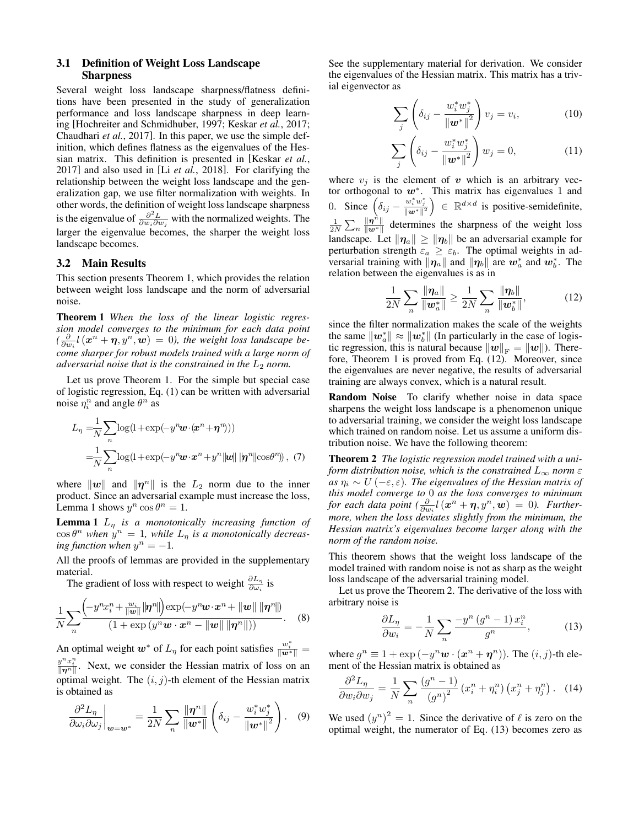### 3.1 Definition of Weight Loss Landscape Sharpness

Several weight loss landscape sharpness/flatness definitions have been presented in the study of generalization performance and loss landscape sharpness in deep learning [\[Hochreiter and Schmidhuber, 1997;](#page-7-15) [Keskar](#page-7-11) *et al.*, 2017; [Chaudhari](#page-7-16) *et al.*, 2017]. In this paper, we use the simple definition, which defines flatness as the eigenvalues of the Hessian matrix. This definition is presented in [\[Keskar](#page-7-11) *et al.*, [2017\]](#page-7-11) and also used in [Li *et al.*[, 2018\]](#page-7-13). For clarifying the relationship between the weight loss landscape and the generalization gap, we use filter normalization with weights. In other words, the definition of weight loss landscape sharpness is the eigenvalue of  $\frac{\partial^2 L}{\partial w_i \partial w_j}$  with the normalized weights. The larger the eigenvalue becomes, the sharper the weight loss landscape becomes.

#### 3.2 Main Results

This section presents Theorem [1,](#page-2-0) which provides the relation between weight loss landscape and the norm of adversarial noise.

<span id="page-2-0"></span>Theorem 1 *When the loss of the linear logistic regression model converges to the minimum for each data point*  $\left(\frac{\partial}{\partial w_i} l\left(\boldsymbol{x}^n + \boldsymbol{\eta}, y^n, \boldsymbol{w}\right)\right) = 0$ ), the weight loss landscape be*come sharper for robust models trained with a large norm of adversarial noise that is the constrained in the*  $L_2$  *norm.* 

Let us prove Theorem [1.](#page-2-0) For the simple but special case of logistic regression, Eq. [\(1\)](#page-1-0) can be written with adversarial noise  $\eta_i^n$  and angle  $\theta^n$  as

$$
L_{\eta} = \frac{1}{N} \sum_{n} \log(1 + \exp(-y^n \boldsymbol{w} \cdot (\boldsymbol{x}^n + \boldsymbol{\eta}^n)))
$$
  
= 
$$
\frac{1}{N} \sum_{n} \log(1 + \exp(-y^n \boldsymbol{w} \cdot \boldsymbol{x}^n + y^n ||\boldsymbol{w}|| ||\boldsymbol{\eta}^n|| \cos \theta^n)),
$$
 (7)

where  $\|\boldsymbol{w}\|$  and  $\|\boldsymbol{\eta}^n\|$  is the  $L_2$  norm due to the inner product. Since an adversarial example must increase the loss, Lemma [1](#page-2-1) shows  $y^n \cos \theta^n = 1$ .

<span id="page-2-1"></span>**Lemma 1**  $L_n$  *is a monotonically increasing function of*  $\cos\theta^n$  when  $y^n = 1$ , while  $L_\eta$  is a monotonically decreas- $\int$ *ing function when*  $y^n = -1$ *.* 

All the proofs of lemmas are provided in the supplementary material.

The gradient of loss with respect to weight  $\frac{\partial L_{\eta}}{\partial \omega_i}$  is

$$
\frac{1}{N}\sum_{n}\frac{\left(-y^{n}x_{i}^{n}+\frac{w_{i}}{\|\mathbf{w}\|}\|\boldsymbol{\eta}^{n}\|\right)\exp(-y^{n}\mathbf{w}\cdot\mathbf{x}^{n}+\|\mathbf{w}\|\|\boldsymbol{\eta}^{n}\|)}{(1+\exp(y^{n}\mathbf{w}\cdot\mathbf{x}^{n}-\|\mathbf{w}\|\|\boldsymbol{\eta}^{n}\|))}.
$$
 (8)

An optimal weight  $w^*$  of  $L_\eta$  for each point satisfies  $\frac{w_i^*}{\|w^*\|} =$  $y^n x_i^n$ . Next, we consider the Hessian matrix of loss on an optimal weight. The  $(i, j)$ -th element of the Hessian matrix is obtained as

$$
\frac{\partial^2 L_\eta}{\partial \omega_i \partial \omega_j}\bigg|_{\bm{w}=\bm{w}^*} = \frac{1}{2N} \sum_n \frac{\|\bm{\eta}^n\|}{\|\bm{w}^*\|} \left(\delta_{ij} - \frac{w_i^* w_j^*}{\|\bm{w}^*\|^2}\right). \quad (9)
$$

See the supplementary material for derivation. We consider the eigenvalues of the Hessian matrix. This matrix has a trivial eigenvector as

$$
\sum_{j} \left( \delta_{ij} - \frac{w_i^* w_j^*}{\left\| \boldsymbol{w}^* \right\|^2} \right) v_j = v_i, \tag{10}
$$

$$
\sum_{j} \left( \delta_{ij} - \frac{w_i^* w_j^*}{\left\| \boldsymbol{w}^* \right\|^2} \right) w_j = 0, \tag{11}
$$

where  $v_j$  is the element of v which is an arbitrary vector orthogonal to  $w^*$ . This matrix has eigenvalues 1 and 0. Since  $\left(\delta_{ij} - \frac{w_i^* w_j^*}{\|w^*\|^2}\right) \in \mathbb{R}^{d \times d}$  is positive-semidefinite,  $\frac{1}{2N}\sum_n \frac{\|\boldsymbol{\eta}^{\vec{n}}\|}{\|\boldsymbol{w}^*\|}$  $\frac{\Vert \eta \Vert}{\Vert w^* \Vert}$  determines the sharpness of the weight loss landscape. Let  $\|\eta_a\| \ge \|\eta_b\|$  be an adversarial example for perturbation strength  $\varepsilon_a \geq \varepsilon_b$ . The optimal weights in adversarial training with  $\|\eta_a\|$  and  $\|\eta_b\|$  are  $w^*_a$  and  $w^*_b$ . The relation between the eigenvalues is as in

<span id="page-2-2"></span>
$$
\frac{1}{2N} \sum_{n} \frac{\|\pmb{\eta}_a\|}{\|\pmb{w}_a^*\|} \ge \frac{1}{2N} \sum_{n} \frac{\|\pmb{\eta}_b\|}{\|\pmb{w}_b^*\|},
$$
(12)

since the filter normalization makes the scale of the weights the same  $\|\boldsymbol{w}_a^*\| \approx \|\boldsymbol{w}_b^*\|$  (In particularly in the case of logistic regression, this is natural because  $\Vert w \Vert_F = \Vert w \Vert$ . Therefore, Theorem [1](#page-2-0) is proved from Eq. [\(12\)](#page-2-2). Moreover, since the eigenvalues are never negative, the results of adversarial training are always convex, which is a natural result.

Random Noise To clarify whether noise in data space sharpens the weight loss landscape is a phenomenon unique to adversarial training, we consider the weight loss landscape which trained on random noise. Let us assume a uniform distribution noise. We have the following theorem:

<span id="page-2-5"></span><span id="page-2-3"></span>Theorem 2 *The logistic regression model trained with a uniform distribution noise, which is the constrained*  $L_{\infty}$  *norm*  $\varepsilon$ *as*  $\eta_i \sim U(-\varepsilon, \varepsilon)$ *. The eigenvalues of the Hessian matrix of this model converge to* 0 *as the loss converges to minimum for each data point*  $\left(\frac{\partial}{\partial w_i}l\left(\boldsymbol{x}^n + \boldsymbol{\eta}, y^n, \boldsymbol{w}\right)\right) = 0$ *). Furthermore, when the loss deviates slightly from the minimum, the Hessian matrix's eigenvalues become larger along with the norm of the random noise.*

This theorem shows that the weight loss landscape of the model trained with random noise is not as sharp as the weight loss landscape of the adversarial training model.

Let us prove the Theorem [2.](#page-2-3) The derivative of the loss with arbitrary noise is

<span id="page-2-4"></span>
$$
\frac{\partial L_{\eta}}{\partial w_i} = -\frac{1}{N} \sum_{n} \frac{-y^n (g^n - 1) x_i^n}{g^n},\tag{13}
$$

where  $g^n \equiv 1 + \exp(-y^n w \cdot (x^n + \eta^n))$ . The  $(i, j)$ -th element of the Hessian matrix is obtained as

$$
\frac{\partial^2 L_\eta}{\partial w_i \partial w_j} = \frac{1}{N} \sum_n \frac{\left(g^n - 1\right)}{\left(g^n\right)^2} \left(x_i^n + \eta_i^n\right) \left(x_j^n + \eta_j^n\right). \tag{14}
$$

<span id="page-2-6"></span>We used  $(y^n)^2 = 1$ . Since the derivative of  $\ell$  is zero on the optimal weight, the numerator of Eq. [\(13\)](#page-2-4) becomes zero as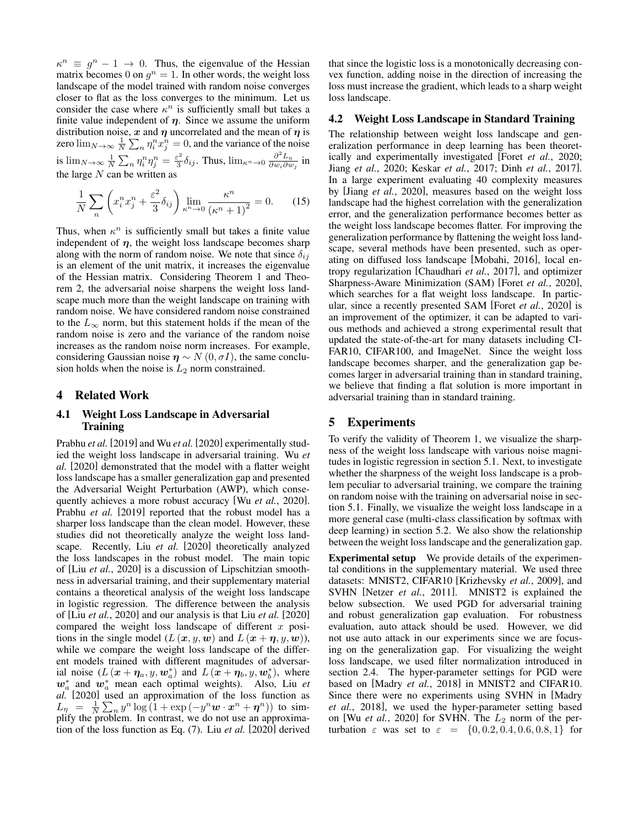$\kappa^n \equiv g^n - 1 \to 0$ . Thus, the eigenvalue of the Hessian matrix becomes 0 on  $g^n = 1$ . In other words, the weight loss landscape of the model trained with random noise converges closer to flat as the loss converges to the minimum. Let us consider the case where  $\kappa^n$  is sufficiently small but takes a finite value independent of  $\eta$ . Since we assume the uniform distribution noise, x and  $\eta$  uncorrelated and the mean of  $\eta$  is zero  $\lim_{N\to\infty}\frac{1}{N}\sum_{n}\eta_{i}^{n}x_{j}^{n}=0$ , and the variance of the noise is  $\lim_{N\to\infty}\frac{1}{N}\sum_n \eta_i^n\eta_j^n=\frac{\varepsilon^2}{3}$  $\frac{\varepsilon^2}{3} \delta_{ij}$ . Thus,  $\lim_{\kappa^n \to 0} \frac{\partial^2 L_\eta}{\partial w_i \partial w_j}$  $\frac{\partial}{\partial w_i \partial w_j}$  in the large  $N$  can be written as

$$
\frac{1}{N} \sum_{n} \left( x_i^n x_j^n + \frac{\varepsilon^2}{3} \delta_{ij} \right) \lim_{\kappa^n \to 0} \frac{\kappa^n}{\left(\kappa^n + 1\right)^2} = 0. \tag{15}
$$

Thus, when  $\kappa^n$  is sufficiently small but takes a finite value independent of  $\eta$ , the weight loss landscape becomes sharp along with the norm of random noise. We note that since  $\delta_{ij}$ is an element of the unit matrix, it increases the eigenvalue of the Hessian matrix. Considering Theorem [1](#page-2-0) and Theorem [2,](#page-2-3) the adversarial noise sharpens the weight loss landscape much more than the weight landscape on training with random noise. We have considered random noise constrained to the  $L_{\infty}$  norm, but this statement holds if the mean of the random noise is zero and the variance of the random noise increases as the random noise norm increases. For example, considering Gaussian noise  $\eta \sim N(0, \sigma I)$ , the same conclusion holds when the noise is  $L_2$  norm constrained.

# 4 Related Work

### 4.1 Weight Loss Landscape in Adversarial Training

[Prabhu](#page-8-7) *et al.* [\[2019\]](#page-8-7) and Wu *[et al.](#page-8-6)* [\[2020\]](#page-8-6) experimentally studied the weight loss landscape in adversarial training. [Wu](#page-8-6) *et [al.](#page-8-6)* [\[2020\]](#page-8-6) demonstrated that the model with a flatter weight loss landscape has a smaller generalization gap and presented the Adversarial Weight Perturbation (AWP), which consequently achieves a more robust accuracy [Wu *et al.*[, 2020\]](#page-8-6). [Prabhu](#page-8-7) *et al.* [\[2019\]](#page-8-7) reported that the robust model has a sharper loss landscape than the clean model. However, these studies did not theoretically analyze the weight loss landscape. Recently, Liu *[et al.](#page-7-17)* [\[2020\]](#page-7-17) theoretically analyzed the loss landscapes in the robust model. The main topic of [Liu *et al.*[, 2020\]](#page-7-17) is a discussion of Lipschitzian smoothness in adversarial training, and their supplementary material contains a theoretical analysis of the weight loss landscape in logistic regression. The difference between the analysis of [Liu *et al.*[, 2020\]](#page-7-17) and our analysis is that Liu *[et al.](#page-7-17)* [\[2020\]](#page-7-17) compared the weight loss landscape of different  $x$  positions in the single model  $(L(x, y, w))$  and  $L(x + \eta, y, w)$ , while we compare the weight loss landscape of the different models trained with different magnitudes of adversarial noise  $(L(\mathbf{x} + \eta_a, y, \mathbf{w}_a^*)$  and  $L(\mathbf{x} + \eta_b, y, \mathbf{w}_b^*)$ , where  $w_a^*$  and  $w_a^*$  mean each optimal weights). Also, [Liu](#page-7-17) *et [al.](#page-7-17)* [\[2020\]](#page-7-17) used an approximation of the loss function as  $L_{\eta} = \frac{1}{N} \sum_{n} y^{n} \log \left(1 + \exp\left(-y^{n} \boldsymbol{w} \cdot \boldsymbol{x}^{n} + \boldsymbol{\eta}^{n}\right)\right)$  to simplify the problem. In contrast, we do not use an approximation of the loss function as Eq. [\(7\)](#page-2-5). Liu *[et al.](#page-7-17)* [\[2020\]](#page-7-17) derived that since the logistic loss is a monotonically decreasing convex function, adding noise in the direction of increasing the loss must increase the gradient, which leads to a sharp weight loss landscape.

#### 4.2 Weight Loss Landscape in Standard Training

The relationship between weight loss landscape and generalization performance in deep learning has been theoretically and experimentally investigated [Foret *et al.*[, 2020;](#page-7-18) Jiang *et al.*[, 2020;](#page-7-19) [Keskar](#page-7-11) *et al.*, 2017; Dinh *et al.*[, 2017\]](#page-7-14). In a large experiment evaluating 40 complexity measures by [Jiang *et al.*[, 2020\]](#page-7-19), measures based on the weight loss landscape had the highest correlation with the generalization error, and the generalization performance becomes better as the weight loss landscape becomes flatter. For improving the generalization performance by flattening the weight loss landscape, several methods have been presented, such as operating on diffused loss landscape [\[Mobahi, 2016\]](#page-7-20), local entropy regularization [\[Chaudhari](#page-7-16) *et al.*, 2017], and optimizer Sharpness-Aware Minimization (SAM) [Foret *et al.*[, 2020\]](#page-7-18), which searches for a flat weight loss landscape. In particular, since a recently presented SAM [Foret *et al.*[, 2020\]](#page-7-18) is an improvement of the optimizer, it can be adapted to various methods and achieved a strong experimental result that updated the state-of-the-art for many datasets including CI-FAR10, CIFAR100, and ImageNet. Since the weight loss landscape becomes sharper, and the generalization gap becomes larger in adversarial training than in standard training, we believe that finding a flat solution is more important in adversarial training than in standard training.

### 5 Experiments

To verify the validity of Theorem [1,](#page-2-0) we visualize the sharpness of the weight loss landscape with various noise magnitudes in logistic regression in section [5.1.](#page-4-0) Next, to investigate whether the sharpness of the weight loss landscape is a problem peculiar to adversarial training, we compare the training on random noise with the training on adversarial noise in section [5.1.](#page-5-0) Finally, we visualize the weight loss landscape in a more general case (multi-class classification by softmax with deep learning) in section [5.2.](#page-5-1) We also show the relationship between the weight loss landscape and the generalization gap.

Experimental setup We provide details of the experimental conditions in the supplementary material. We used three datasets: MNIST2, CIFAR10 [\[Krizhevsky](#page-7-21) *et al.*, 2009], and SVHN [Netzer *et al.*[, 2011\]](#page-7-22). MNIST2 is explained the below subsection. We used PGD for adversarial training and robust generalization gap evaluation. For robustness evaluation, auto attack should be used. However, we did not use auto attack in our experiments since we are focusing on the generalization gap. For visualizing the weight loss landscape, we used filter normalization introduced in section [2.4.](#page-1-1) The hyper-parameter settings for PGD were based on [Madry *et al.*[, 2018\]](#page-7-4) in MNIST2 and CIFAR10. Since there were no experiments using SVHN in [\[Madry](#page-7-4) *et al.*[, 2018\]](#page-7-4), we used the hyper-parameter setting based on [Wu *et al.*[, 2020\]](#page-8-6) for SVHN. The  $L_2$  norm of the perturbation  $\varepsilon$  was set to  $\varepsilon = \{0, 0.2, 0.4, 0.6, 0.8, 1\}$  for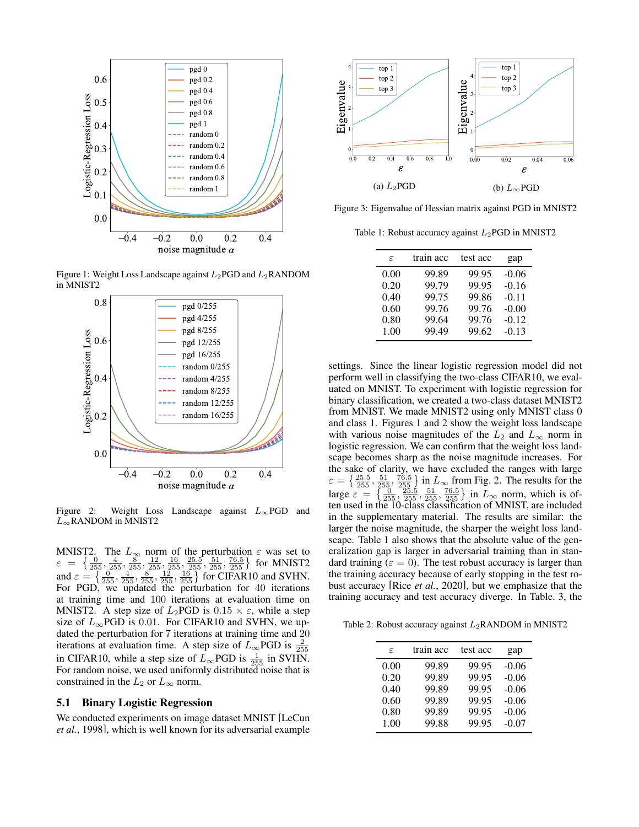<span id="page-4-1"></span>

Figure 1: Weight Loss Landscape against  $L_2$ PGD and  $L_2$ RANDOM in MNIST2



Figure 2: Weight Loss Landscape against  $L_{\infty}$ PGD and  $L_{\infty}$ RANDOM in MNIST2

MNIST2. The  $L_{\infty}$  norm of the perturbation  $\varepsilon$  was set to  $\varepsilon = \left\{ \frac{0}{255}, \frac{4}{255}, \frac{8}{255}, \frac{12}{255}, \frac{16}{255}, \frac{25}{255}, \frac{51}{255}, \frac{76.5}{255} \right\}$  for MNIST2 and  $\varepsilon = \left\{ \frac{0}{255}, \frac{4}{255}, \frac{8}{255}, \frac{12}{255}, \frac{16}{255} \right\}$  for CIFAR10 and SVHN. For PGD, we updated the perturbation for 40 iterations at training time and 100 iterations at evaluation time on MNIST2. A step size of  $L_2$ PGD is  $0.15 \times \varepsilon$ , while a step size of  $L_{\infty}$ PGD is 0.01. For CIFAR10 and SVHN, we updated the perturbation for 7 iterations at training time and 20 iterations at evaluation time. A step size of  $L_{\infty}$ PGD is  $\frac{2}{255}$ in CIFAR10, while a step size of  $L_{\infty}$ PGD is  $\frac{1}{255}$  in SVHN. For random noise, we used uniformly distributed noise that is constrained in the  $L_2$  or  $L_{\infty}$  norm.

#### <span id="page-4-0"></span>5.1 Binary Logistic Regression

We conducted experiments on image dataset MNIST [\[LeCun](#page-7-23) *et al.*[, 1998\]](#page-7-23), which is well known for its adversarial example

<span id="page-4-3"></span>

<span id="page-4-2"></span>Figure 3: Eigenvalue of Hessian matrix against PGD in MNIST2

Table 1: Robust accuracy against  $L_2$ PGD in MNIST2

| ε    | train acc | test acc | gap     |
|------|-----------|----------|---------|
| 0.00 | 99.89     | 99.95    | $-0.06$ |
| 0.20 | 99.79     | 99.95    | $-0.16$ |
| 0.40 | 99.75     | 99.86    | $-0.11$ |
| 0.60 | 99.76     | 99.76    | $-0.00$ |
| 0.80 | 99.64     | 99.76    | $-0.12$ |
| 1.00 | 99.49     | 99.62    | $-0.13$ |

settings. Since the linear logistic regression model did not perform well in classifying the two-class CIFAR10, we evaluated on MNIST. To experiment with logistic regression for binary classification, we created a two-class dataset MNIST2 from MNIST. We made MNIST2 using only MNIST class 0 and class 1. Figures [1](#page-4-1) and [2](#page-4-1) show the weight loss landscape with various noise magnitudes of the  $L_2$  and  $L_{\infty}$  norm in logistic regression. We can confirm that the weight loss landscape becomes sharp as the noise magnitude increases. For the sake of clarity, we have excluded the ranges with large ε =  $\left\{\frac{25.5}{255}, \frac{51}{255}, \frac{76.5}{255}\right\}$  in  $L_{\infty}$  from Fig. [2.](#page-4-1) The results for the large  $\varepsilon =$  $\left\{\frac{0}{255}, \frac{25.5}{255}, \frac{51}{255}, \frac{76.5}{255}\right\}$  in  $L_{\infty}$  norm, which is often used in the 10-class classification of MNIST, are included in the supplementary material. The results are similar: the larger the noise magnitude, the sharper the weight loss landscape. Table [1](#page-4-2) also shows that the absolute value of the generalization gap is larger in adversarial training than in standard training ( $\varepsilon = 0$ ). The test robust accuracy is larger than the training accuracy because of early stopping in the test robust accuracy [Rice *et al.*[, 2020\]](#page-8-8), but we emphasize that the training accuracy and test accuracy diverge. In Table. [3,](#page-5-2) the

<span id="page-4-4"></span>Table 2: Robust accuracy against  $L_2$ RANDOM in MNIST2

| $\epsilon$ | train acc | test acc | gap     |
|------------|-----------|----------|---------|
| 0.00       | 99.89     | 99.95    | $-0.06$ |
| 0.20       | 99.89     | 99.95    | $-0.06$ |
| 0.40       | 99.89     | 99.95    | $-0.06$ |
| 0.60       | 99.89     | 99.95    | $-0.06$ |
| 0.80       | 99.89     | 99.95    | $-0.06$ |
| 1.00       | 99.88     | 99.95    | $-0.07$ |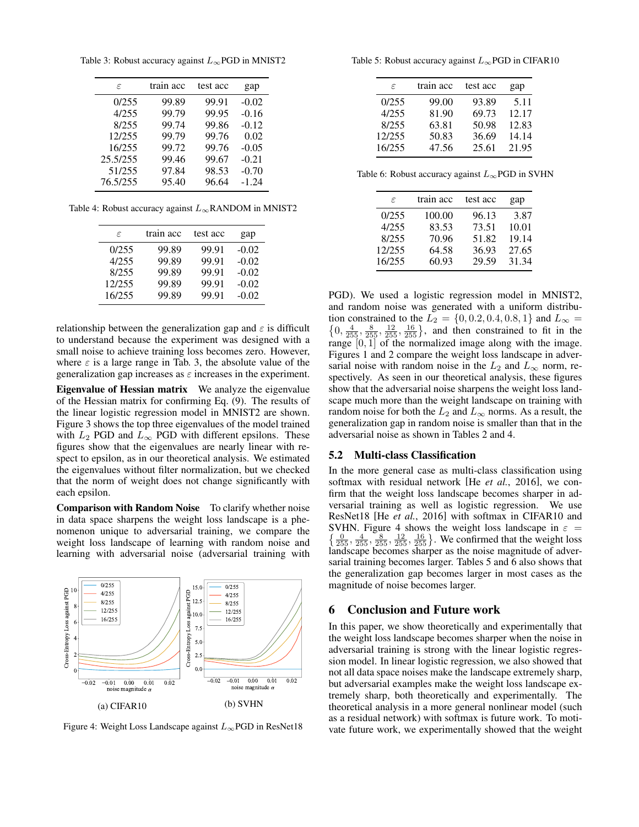<span id="page-5-2"></span>Table 3: Robust accuracy against  $L_{\infty}$ PGD in MNIST2

| $\epsilon$ | train acc | test acc | gap     |
|------------|-----------|----------|---------|
| 0/255      | 99.89     | 99.91    | $-0.02$ |
| 4/255      | 99.79     | 99.95    | $-0.16$ |
| 8/255      | 99.74     | 99.86    | $-0.12$ |
| 12/255     | 99.79     | 99.76    | 0.02    |
| 16/255     | 99.72     | 99.76    | $-0.05$ |
| 25.5/255   | 99.46     | 99.67    | $-0.21$ |
| 51/255     | 97.84     | 98.53    | $-0.70$ |
| 76.5/255   | 95.40     | 96.64    | $-1.24$ |

<span id="page-5-3"></span>Table 4: Robust accuracy against  $L_{\infty}$ RANDOM in MNIST2

| ε      | train acc | test acc | gap     |
|--------|-----------|----------|---------|
| 0/255  | 99.89     | 99.91    | $-0.02$ |
| 4/255  | 99.89     | 99.91    | $-0.02$ |
| 8/255  | 99.89     | 99.91    | $-0.02$ |
| 12/255 | 99.89     | 99.91    | $-0.02$ |
| 16/255 | 99.89     | 99.91    | $-0.02$ |

relationship between the generalization gap and  $\varepsilon$  is difficult to understand because the experiment was designed with a small noise to achieve training loss becomes zero. However, where  $\varepsilon$  is a large range in Tab. [3,](#page-5-2) the absolute value of the generalization gap increases as  $\varepsilon$  increases in the experiment.

Eigenvalue of Hessian matrix We analyze the eigenvalue of the Hessian matrix for confirming Eq. [\(9\)](#page-2-6). The results of the linear logistic regression model in MNIST2 are shown. Figure [3](#page-4-3) shows the top three eigenvalues of the model trained with  $L_2$  PGD and  $L_{\infty}$  PGD with different epsilons. These figures show that the eigenvalues are nearly linear with respect to epsilon, as in our theoretical analysis. We estimated the eigenvalues without filter normalization, but we checked that the norm of weight does not change significantly with each epsilon.

<span id="page-5-0"></span>Comparison with Random Noise To clarify whether noise in data space sharpens the weight loss landscape is a phenomenon unique to adversarial training, we compare the weight loss landscape of learning with random noise and learning with adversarial noise (adversarial training with

<span id="page-5-4"></span>

Figure 4: Weight Loss Landscape against  $L_{\infty}$ PGD in ResNet18

<span id="page-5-5"></span>Table 5: Robust accuracy against  $L_{\infty}$ PGD in CIFAR10

| ε      | train acc | test acc | gap   |
|--------|-----------|----------|-------|
| 0/255  | 99.00     | 93.89    | 5.11  |
| 4/255  | 81.90     | 69.73    | 12.17 |
| 8/255  | 63.81     | 50.98    | 12.83 |
| 12/255 | 50.83     | 36.69    | 14.14 |
| 16/255 | 47.56     | 25.61    | 21.95 |
|        |           |          |       |

<span id="page-5-6"></span>Table 6: Robust accuracy against  $L_{\infty}$ PGD in SVHN

| $\epsilon$ | train acc | test acc | gap   |
|------------|-----------|----------|-------|
| 0/255      | 100.00    | 96.13    | 3.87  |
| 4/255      | 83.53     | 73.51    | 10.01 |
| 8/255      | 70.96     | 51.82    | 19.14 |
| 12/255     | 64.58     | 36.93    | 27.65 |
| 16/255     | 60.93     | 29.59    | 31.34 |

PGD). We used a logistic regression model in MNIST2, and random noise was generated with a uniform distribution constrained to the  $L_2 = \{0, 0.2, 0.4, 0.8, 1\}$  and  $L_{\infty} =$  $\{0, \frac{4}{255}, \frac{8}{255}, \frac{12}{255}, \frac{16}{255}\}$ , and then constrained to fit in the range  $[0, 1]$  of the normalized image along with the image. Figures [1](#page-4-1) and [2](#page-4-1) compare the weight loss landscape in adversarial noise with random noise in the  $L_2$  and  $L_{\infty}$  norm, respectively. As seen in our theoretical analysis, these figures show that the adversarial noise sharpens the weight loss landscape much more than the weight landscape on training with random noise for both the  $L_2$  and  $L_{\infty}$  norms. As a result, the generalization gap in random noise is smaller than that in the adversarial noise as shown in Tables [2](#page-4-4) and [4.](#page-5-3)

#### <span id="page-5-1"></span>5.2 Multi-class Classification

In the more general case as multi-class classification using softmax with residual network [He *et al.*[, 2016\]](#page-7-0), we confirm that the weight loss landscape becomes sharper in adversarial training as well as logistic regression. We use ResNet18 [He *et al.*[, 2016\]](#page-7-0) with softmax in CIFAR10 and  $\left\{\frac{0}{255}, \frac{4}{255}, \frac{8}{255}, \frac{12}{255}, \frac{16}{255}\right\}$ . We confirmed that the weight loss SVHN. Figure [4](#page-5-4) shows the weight loss landscape in  $\varepsilon$  = landscape becomes sharper as the noise magnitude of adversarial training becomes larger. Tables [5](#page-5-5) and [6](#page-5-6) also shows that the generalization gap becomes larger in most cases as the magnitude of noise becomes larger.

## 6 Conclusion and Future work

In this paper, we show theoretically and experimentally that the weight loss landscape becomes sharper when the noise in adversarial training is strong with the linear logistic regression model. In linear logistic regression, we also showed that not all data space noises make the landscape extremely sharp, but adversarial examples make the weight loss landscape extremely sharp, both theoretically and experimentally. The theoretical analysis in a more general nonlinear model (such as a residual network) with softmax is future work. To motivate future work, we experimentally showed that the weight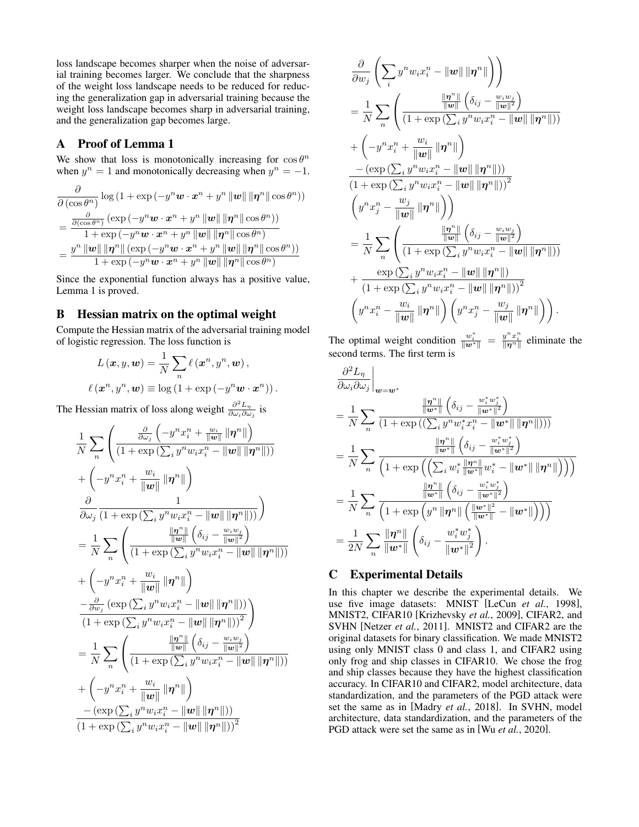loss landscape becomes sharper when the noise of adversarial training becomes larger. We conclude that the sharpness of the weight loss landscape needs to be reduced for reducing the generalization gap in adversarial training because the weight loss landscape becomes sharp in adversarial training, and the generalization gap becomes large.

# A Proof of Lemma 1

We show that loss is monotonically increasing for  $\cos \theta^n$ when  $y^n = 1$  and monotonically decreasing when  $y^n = -1$ .

$$
\frac{\partial}{\partial (\cos \theta^n)} \log (1 + \exp(-y^n \boldsymbol{w} \cdot \boldsymbol{x}^n + y^n ||\boldsymbol{w}|| \|\boldsymbol{\eta}^n\| \cos \theta^n))
$$
\n
$$
= \frac{\frac{\partial}{\partial (\cos \theta^n)} (\exp(-y^n \boldsymbol{w} \cdot \boldsymbol{x}^n + y^n ||\boldsymbol{w}|| \|\boldsymbol{\eta}^n\| \cos \theta^n))}{1 + \exp(-y^n \boldsymbol{w} \cdot \boldsymbol{x}^n + y^n ||\boldsymbol{w}|| \|\boldsymbol{\eta}^n\| \cos \theta^n))}
$$
\n
$$
= \frac{y^n ||\boldsymbol{w}|| \|\boldsymbol{\eta}^n\| (\exp(-y^n \boldsymbol{w} \cdot \boldsymbol{x}^n + y^n ||\boldsymbol{w}|| \|\boldsymbol{\eta}^n\| \cos \theta^n))}{1 + \exp(-y^n \boldsymbol{w} \cdot \boldsymbol{x}^n + y^n ||\boldsymbol{w}|| \|\boldsymbol{\eta}^n\| \cos \theta^n)}
$$

Since the exponential function always has a positive value, Lemma 1 is proved.

# B Hessian matrix on the optimal weight

Compute the Hessian matrix of the adversarial training model of logistic regression. The loss function is

$$
L(\boldsymbol{x}, y, \boldsymbol{w}) = \frac{1}{N} \sum_{n} \ell(\boldsymbol{x}^n, y^n, \boldsymbol{w}),
$$

$$
\ell(\boldsymbol{x}^n, y^n, \boldsymbol{w}) \equiv \log(1 + \exp(-y^n \boldsymbol{w} \cdot \boldsymbol{x}^n)).
$$

The Hessian matrix of loss along weight  $\frac{\partial^2 L_{\eta}}{\partial \omega \cdot \partial \omega}$  $\frac{\partial}{\partial \omega_i \partial \omega_j}$  is

$$
\frac{1}{N}\sum_{n}\left(\frac{\frac{\partial}{\partial\omega_{j}}\left(-y^{n}x_{i}^{n}+\frac{w_{i}}{\|\mathbf{w}\|}\|\boldsymbol{\eta}^{n}\|\right)}{(1+\exp\left(\sum_{i}y^{n}w_{i}x_{i}^{n}-\|\mathbf{w}\|\|\mathbf{p}^{n}\|\right))}\right.\\\left.+\left(-y^{n}x_{i}^{n}+\frac{w_{i}}{\|\mathbf{w}\|}\|\boldsymbol{\eta}^{n}\|\right)\right)\\\frac{\partial}{\partial\omega_{j}}\frac{1}{(1+\exp\left(\sum_{i}y^{n}w_{i}x_{i}^{n}-\|\mathbf{w}\|\|\mathbf{p}^{n}\|\right))}\right)\\\n=\frac{1}{N}\sum_{n}\left(\frac{\frac{\|\mathbf{m}^{n}\|}{\|\mathbf{w}\|}\left(\delta_{ij}-\frac{w_{i}w_{j}}{\|\mathbf{w}\|^{2}}\right)}{(1+\exp\left(\sum_{i}y^{n}w_{i}x_{i}^{n}-\|\mathbf{w}\|\|\mathbf{p}^{n}\|\right))}\right)\\\n+\left(-y^{n}x_{i}^{n}+\frac{w_{i}}{\|\mathbf{w}\|}\|\boldsymbol{\eta}^{n}\|\right)\\\n-\frac{\partial}{\partial w_{j}}\left(\exp\left(\sum_{i}y^{n}w_{i}x_{i}^{n}-\|\mathbf{w}\|\|\mathbf{p}^{n}\|\right))\right)\\\n\frac{-\partial}{\partial w_{j}}\left(\exp\left(\sum_{i}y^{n}w_{i}x_{i}^{n}-\|\mathbf{w}\|\|\mathbf{p}^{n}\|\right)\right)\\\n\left(1+\exp\left(\sum_{i}y^{n}w_{i}x_{i}^{n}-\|\mathbf{w}\|\|\mathbf{p}^{n}\|\right)\right)\\\n=\frac{1}{N}\sum_{n}\left(\frac{\frac{\|\mathbf{m}^{n}\|}{\|\mathbf{w}\|}\left(\delta_{ij}-\frac{w_{i}w_{j}}{\|\mathbf{w}\|^{2}}\right)}{(1+\exp\left(\sum_{i}y^{n}w_{i}x_{i}^{n}-\|\mathbf{w}\|\|\mathbf{p}^{n}\|\right))}\right.\\\n\left.+\left(-y^{n}x_{i}^{n}+\frac{w_{i}}{\|\mathbf{w}\|}\|\boldsymbol{\eta}^{n}\|\right)\\\n\left.-(\exp\left(\sum_{i}y^{n}w_{i}x_{
$$

$$
\begin{split} &\frac{\partial}{\partial w_j}\left(\sum_i y^n w_i x_i^n - \left\|\boldsymbol{w}\right\|\left\|\boldsymbol{\eta}^n\right\|\right)\right) \\ &= \frac{1}{N}\sum_n\left(\frac{\frac{\left\|\boldsymbol{\eta}^n\right\|}{\left\|\boldsymbol{w}\right\|}\left(\delta_{ij}-\frac{w_i w_j}{\left\|\boldsymbol{w}\right\|^2}\right)}{\left(1+\exp\left(\sum_i y^n w_i x_i^n-\left\|\boldsymbol{w}\right\|\left\|\boldsymbol{\eta}^n\right\|\right)\right)} \\ &+\left(-y^n x_i^n + \frac{w_i}{\left\|\boldsymbol{w}\right\|}\left\|\boldsymbol{\eta}^n\right\|\right) \\ &-\frac{(\exp\left(\sum_i y^n w_i x_i^n-\left\|\boldsymbol{w}\right\|\left\|\boldsymbol{\eta}^n\right\|\right))}{\left(1+\exp\left(\sum_i y^n w_i x_i^n-\left\|\boldsymbol{w}\right\|\left\|\boldsymbol{\eta}^n\right\|\right)\right)^2} \\ &\left(y^n x_j^n - \frac{w_j}{\left\|\boldsymbol{w}\right\|}\left\|\boldsymbol{\eta}^n\right\|\right)\right) \\ &= \frac{1}{N}\sum_n\left(\frac{\frac{\left\|\boldsymbol{\eta}^n\right\|}{\left\|\boldsymbol{w}\right\|}\left(\delta_{ij}-\frac{w_i w_j}{\left\|\boldsymbol{w}\right\|^2}\right)}{\left(1+\exp\left(\sum_i y^n w_i x_i^n-\left\|\boldsymbol{w}\right\|\left\|\boldsymbol{\eta}^n\right\|\right)\right)} \\ &+\frac{\exp\left(\sum_i y^n w_i x_i^n-\left\|\boldsymbol{w}\right\|\left\|\boldsymbol{\eta}^n\right\|\right)}{\left(1+\exp\left(\sum_i y^n w_i x_i^n-\left\|\boldsymbol{w}\right\|\left\|\boldsymbol{\eta}^n\right\|\right)\right)^2} \\ &\left(y^n x_i^n - \frac{w_i}{\left\|\boldsymbol{w}\right\|}\left\|\boldsymbol{\eta}^n\right\|\right)\left(y^n x_j^n - \frac{w_j}{\left\|\boldsymbol{w}\right\|}\left\|\boldsymbol{\eta}^n\right\|\right)\right). \end{split}
$$

The optimal weight condition  $\frac{w_i^*}{\|w^*\|} = \frac{y^n x_i^n}{\|v^n\|}$  eliminate the second terms. The first term is

$$
\frac{\partial^2 L_{\eta}}{\partial \omega_i \partial \omega_j}\Big|_{\mathbf{w}=\mathbf{w}^*} \n= \frac{1}{N} \sum_{n} \frac{\frac{\|\mathbf{n}^n\|}{\|\mathbf{w}^*\|} \left(\delta_{ij} - \frac{w_i^* w_j^*}{\|\mathbf{w}^*\|^2}\right)}{(1 + \exp\left((\sum_{i} y^n w_i^* x_i^n - \|\mathbf{w}^*\| \|\mathbf{\eta}^n\|)\right))} \n= \frac{1}{N} \sum_{n} \frac{\frac{\|\mathbf{n}^n\|}{\|\mathbf{w}^*\|} \left(\delta_{ij} - \frac{w_i^* w_j^*}{\|\mathbf{w}^*\|^2}\right)}{(1 + \exp\left((\sum_{i} w_i^* \frac{\|\mathbf{n}^n\|}{\|\mathbf{w}^*\|} w_i^* - \|\mathbf{w}^*\| \|\mathbf{\eta}^n\|\right))} \n= \frac{1}{N} \sum_{n} \frac{\frac{\|\mathbf{n}^n\|}{\|\mathbf{w}^*\|} \left(\delta_{ij} - \frac{w_i^* w_j^*}{\|\mathbf{w}^*\|^2}\right)}{(1 + \exp\left(y^n \|\mathbf{\eta}^n\| \left(\frac{\|\mathbf{w}^*\|^2}{\|\mathbf{w}^*\|} - \|\mathbf{w}^*\|\right)\right))} \n= \frac{1}{2N} \sum_{n} \frac{\|\mathbf{\eta}^n\|}{\|\mathbf{w}^*\|} \left(\delta_{ij} - \frac{w_i^* w_j^*}{\|\mathbf{w}^*\|^2}\right).
$$

# C Experimental Details

In this chapter we describe the experimental details. We use five image datasets: MNIST [LeCun *et al.*[, 1998\]](#page-7-23), MNIST2, CIFAR10 [\[Krizhevsky](#page-7-21) *et al.*, 2009], CIFAR2, and SVHN [\[Netzer](#page-7-22) *et al.*, 2011]. MNIST2 and CIFAR2 are the original datasets for binary classification. We made MNIST2 using only MNIST class 0 and class 1, and CIFAR2 using only frog and ship classes in CIFAR10. We chose the frog and ship classes because they have the highest classification accuracy. In CIFAR10 and CIFAR2, model architecture, data standardization, and the parameters of the PGD attack were set the same as in [Madry *et al.*[, 2018\]](#page-7-4). In SVHN, model architecture, data standardization, and the parameters of the PGD attack were set the same as in [Wu *et al.*[, 2020\]](#page-8-6).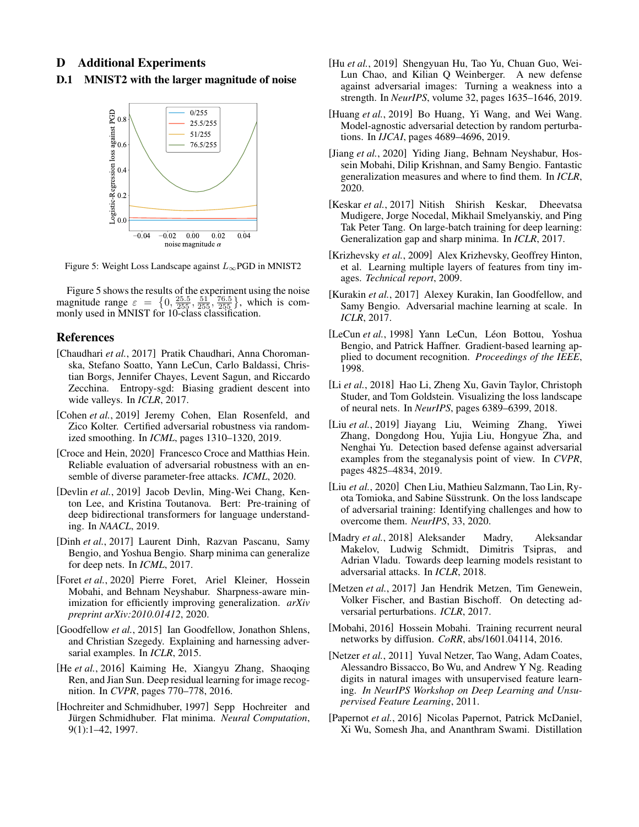# D Additional Experiments

<span id="page-7-24"></span>D.1 MNIST2 with the larger magnitude of noise



Figure 5: Weight Loss Landscape against  $L_{\infty}$ PGD in MNIST2

Figure [5](#page-7-24) shows the results of the experiment using the noise magnitude range  $\varepsilon = \{0, \frac{25.5}{255}, \frac{51}{255}, \frac{76.5}{255}\}$ , which is commonly used in MNIST for 10-class classification.

# References

- <span id="page-7-16"></span>[Chaudhari *et al.*, 2017] Pratik Chaudhari, Anna Choromanska, Stefano Soatto, Yann LeCun, Carlo Baldassi, Christian Borgs, Jennifer Chayes, Levent Sagun, and Riccardo Zecchina. Entropy-sgd: Biasing gradient descent into wide valleys. In *ICLR*, 2017.
- <span id="page-7-10"></span>[Cohen *et al.*, 2019] Jeremy Cohen, Elan Rosenfeld, and Zico Kolter. Certified adversarial robustness via randomized smoothing. In *ICML*, pages 1310–1320, 2019.
- <span id="page-7-12"></span>[Croce and Hein, 2020] Francesco Croce and Matthias Hein. Reliable evaluation of adversarial robustness with an ensemble of diverse parameter-free attacks. *ICML*, 2020.
- <span id="page-7-1"></span>[Devlin *et al.*, 2019] Jacob Devlin, Ming-Wei Chang, Kenton Lee, and Kristina Toutanova. Bert: Pre-training of deep bidirectional transformers for language understanding. In *NAACL*, 2019.
- <span id="page-7-14"></span>[Dinh *et al.*, 2017] Laurent Dinh, Razvan Pascanu, Samy Bengio, and Yoshua Bengio. Sharp minima can generalize for deep nets. In *ICML*, 2017.
- <span id="page-7-18"></span>[Foret *et al.*, 2020] Pierre Foret, Ariel Kleiner, Hossein Mobahi, and Behnam Neyshabur. Sharpness-aware minimization for efficiently improving generalization. *arXiv preprint arXiv:2010.01412*, 2020.
- <span id="page-7-2"></span>[Goodfellow *et al.*, 2015] Ian Goodfellow, Jonathon Shlens, and Christian Szegedy. Explaining and harnessing adversarial examples. In *ICLR*, 2015.
- <span id="page-7-0"></span>[He *et al.*, 2016] Kaiming He, Xiangyu Zhang, Shaoqing Ren, and Jian Sun. Deep residual learning for image recognition. In *CVPR*, pages 770–778, 2016.
- <span id="page-7-15"></span>[Hochreiter and Schmidhuber, 1997] Sepp Hochreiter and Jürgen Schmidhuber. Flat minima. Neural Computation, 9(1):1–42, 1997.
- <span id="page-7-7"></span>[Hu *et al.*, 2019] Shengyuan Hu, Tao Yu, Chuan Guo, Wei-Lun Chao, and Kilian Q Weinberger. A new defense against adversarial images: Turning a weakness into a strength. In *NeurIPS*, volume 32, pages 1635–1646, 2019.
- <span id="page-7-6"></span>[Huang et al., 2019] Bo Huang, Yi Wang, and Wei Wang. Model-agnostic adversarial detection by random perturbations. In *IJCAI*, pages 4689–4696, 2019.
- <span id="page-7-19"></span>[Jiang *et al.*, 2020] Yiding Jiang, Behnam Neyshabur, Hossein Mobahi, Dilip Krishnan, and Samy Bengio. Fantastic generalization measures and where to find them. In *ICLR*, 2020.
- <span id="page-7-11"></span>[Keskar *et al.*, 2017] Nitish Shirish Keskar, Dheevatsa Mudigere, Jorge Nocedal, Mikhail Smelyanskiy, and Ping Tak Peter Tang. On large-batch training for deep learning: Generalization gap and sharp minima. In *ICLR*, 2017.
- <span id="page-7-21"></span>[Krizhevsky *et al.*, 2009] Alex Krizhevsky, Geoffrey Hinton, et al. Learning multiple layers of features from tiny images. *Technical report*, 2009.
- <span id="page-7-3"></span>[Kurakin *et al.*, 2017] Alexey Kurakin, Ian Goodfellow, and Samy Bengio. Adversarial machine learning at scale. In *ICLR*, 2017.
- <span id="page-7-23"></span>[LeCun et al., 1998] Yann LeCun, Léon Bottou, Yoshua Bengio, and Patrick Haffner. Gradient-based learning applied to document recognition. *Proceedings of the IEEE*, 1998.
- <span id="page-7-13"></span>[Li *et al.*, 2018] Hao Li, Zheng Xu, Gavin Taylor, Christoph Studer, and Tom Goldstein. Visualizing the loss landscape of neural nets. In *NeurIPS*, pages 6389–6399, 2018.
- <span id="page-7-8"></span>[Liu *et al.*, 2019] Jiayang Liu, Weiming Zhang, Yiwei Zhang, Dongdong Hou, Yujia Liu, Hongyue Zha, and Nenghai Yu. Detection based defense against adversarial examples from the steganalysis point of view. In *CVPR*, pages 4825–4834, 2019.
- <span id="page-7-17"></span>[Liu *et al.*, 2020] Chen Liu, Mathieu Salzmann, Tao Lin, Ryota Tomioka, and Sabine Susstrunk. On the loss landscape ¨ of adversarial training: Identifying challenges and how to overcome them. *NeurIPS*, 33, 2020.
- <span id="page-7-4"></span>[Madry *et al.*, 2018] Aleksander Madry, Aleksandar Makelov, Ludwig Schmidt, Dimitris Tsipras, and Adrian Vladu. Towards deep learning models resistant to adversarial attacks. In *ICLR*, 2018.
- <span id="page-7-5"></span>[Metzen *et al.*, 2017] Jan Hendrik Metzen, Tim Genewein, Volker Fischer, and Bastian Bischoff. On detecting adversarial perturbations. *ICLR*, 2017.
- <span id="page-7-20"></span>[Mobahi, 2016] Hossein Mobahi. Training recurrent neural networks by diffusion. *CoRR*, abs/1601.04114, 2016.
- <span id="page-7-22"></span>[Netzer *et al.*, 2011] Yuval Netzer, Tao Wang, Adam Coates, Alessandro Bissacco, Bo Wu, and Andrew Y Ng. Reading digits in natural images with unsupervised feature learning. *In NeurIPS Workshop on Deep Learning and Unsupervised Feature Learning*, 2011.
- <span id="page-7-9"></span>[Papernot *et al.*, 2016] Nicolas Papernot, Patrick McDaniel, Xi Wu, Somesh Jha, and Ananthram Swami. Distillation